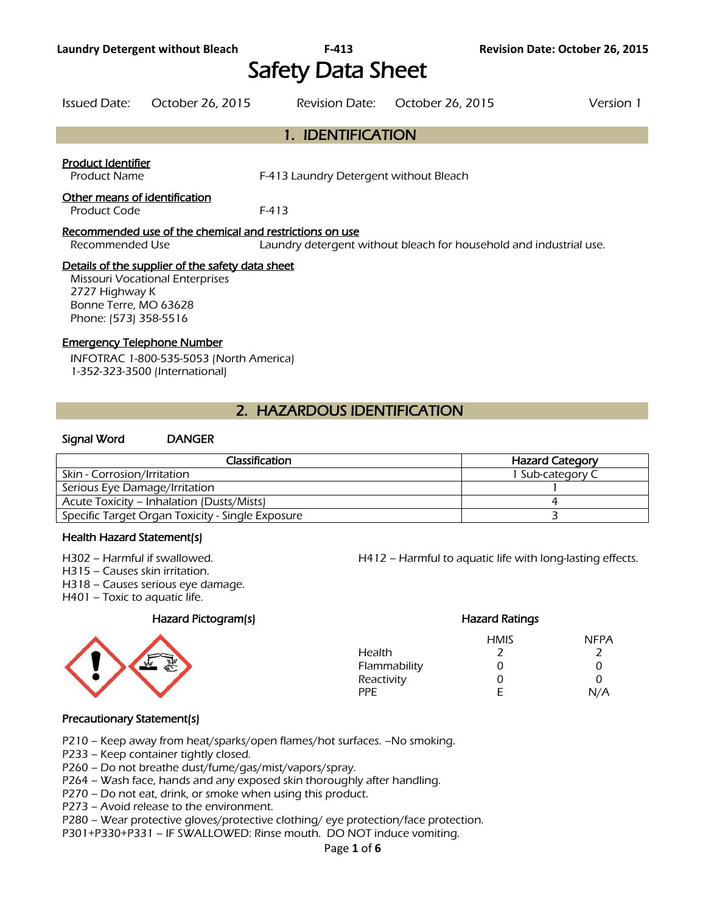# Safety Data Sheet

| Issued Date: | October 26, 2015 | Revision Date: October 26, 2015 | Version 1 |
|--------------|------------------|---------------------------------|-----------|
|              |                  |                                 |           |

## 1. IDENTIFICATION

#### Product Identifier

Product Name **F-413 Laundry Detergent without Bleach** 

#### Other means of identification

Product Code F-413

#### Recommended use of the chemical and restrictions on use

Recommended Use Laundry detergent without bleach for household and industrial use.

#### Details of the supplier of the safety data sheet

Missouri Vocational Enterprises 2727 Highway K Bonne Terre, MO 63628 Phone: (573) 358-5516

#### Emergency Telephone Number

INFOTRAC 1-800-535-5053 (North America) 1-352-323-3500 (International)

# 2. HAZARDOUS IDENTIFICATION

#### Signal Word DANGER

| <b>Classification</b>                            | <b>Hazard Category</b> |
|--------------------------------------------------|------------------------|
| Skin - Corrosion/Irritation                      | 1 Sub-category C       |
| Serious Eye Damage/Irritation                    |                        |
| Acute Toxicity – Inhalation (Dusts/Mists)        |                        |
| Specific Target Organ Toxicity - Single Exposure |                        |
|                                                  |                        |

#### Health Hazard Statement(s)

H302 – Harmful if swallowed. H412 – Harmful to aquatic life with long-lasting effects.

H315 – Causes skin irritation.

H318 – Causes serious eye damage.

H401 – Toxic to aquatic life.

#### Hazard Pictogram(s) Fazard Ratings



|              | <b>HMIS</b> | <b>NFPA</b> |
|--------------|-------------|-------------|
| Health       | 2           | 2           |
| Flammability | 0           | Ω           |
| Reactivity   | 0           | O           |
| PPE          | F           | N/A         |
|              |             |             |

#### Precautionary Statement(s)

P210 – Keep away from heat/sparks/open flames/hot surfaces. –No smoking.

P233 – Keep container tightly closed.

P260 – Do not breathe dust/fume/gas/mist/vapors/spray.

- P264 Wash face, hands and any exposed skin thoroughly after handling.
- P270 Do not eat, drink, or smoke when using this product.
- P273 Avoid release to the environment.

P280 – Wear protective gloves/protective clothing/ eye protection/face protection.

P301+P330+P331 – IF SWALLOWED: Rinse mouth. DO NOT induce vomiting.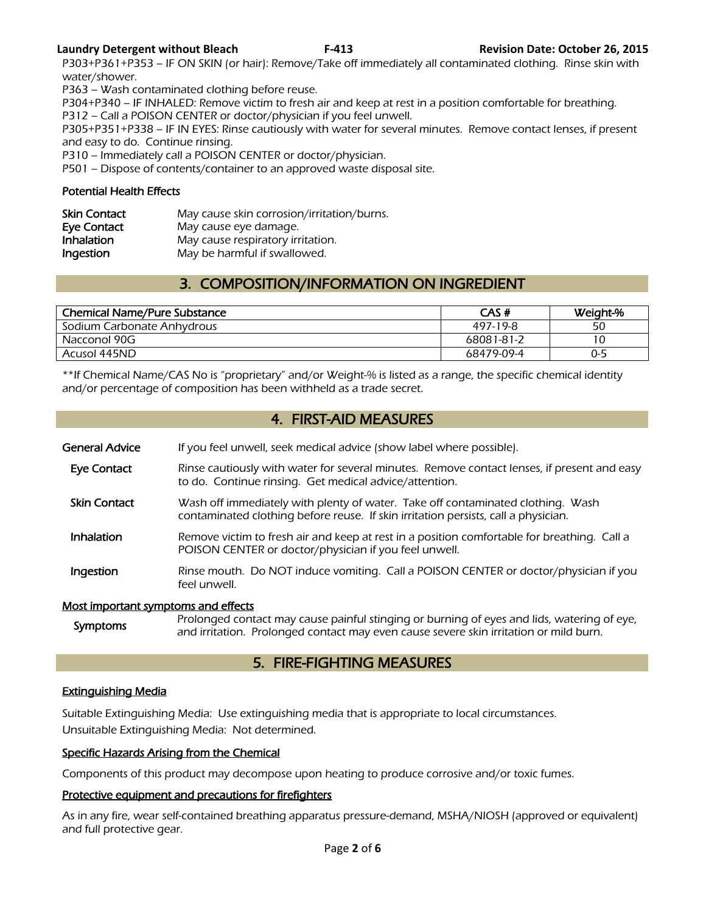#### **Laundry Detergent without Bleach F-413 Revision Date: October 26, 2015**

P303+P361+P353 – IF ON SKIN (or hair): Remove/Take off immediately all contaminated clothing. Rinse skin with water/shower.

P363 – Wash contaminated clothing before reuse.

P304+P340 – IF INHALED: Remove victim to fresh air and keep at rest in a position comfortable for breathing.

P312 – Call a POISON CENTER or doctor/physician if you feel unwell.

P305+P351+P338 – IF IN EYES: Rinse cautiously with water for several minutes. Remove contact lenses, if present and easy to do. Continue rinsing.

P310 – Immediately call a POISON CENTER or doctor/physician.

P501 – Dispose of contents/container to an approved waste disposal site.

#### Potential Health Effects

| <b>Skin Contact</b> | May cause skin corrosion/irritation/burns. |
|---------------------|--------------------------------------------|
| Eye Contact         | May cause eye damage.                      |
| Inhalation          | May cause respiratory irritation.          |
| Ingestion           | May be harmful if swallowed.               |

# 3. COMPOSITION/INFORMATION ON INGREDIENT

| <b>Chemical Name/Pure Substance</b> | CAS#       | Weight-% |
|-------------------------------------|------------|----------|
| Sodium Carbonate Anhydrous          | 497-19-8   | 50       |
| Nacconol 90G                        | 68081-81-2 | 10       |
| Acusol 445ND                        | 68479-09-4 | $0 - 5$  |
|                                     |            |          |

\*\*If Chemical Name/CAS No is "proprietary" and/or Weight-% is listed as a range, the specific chemical identity and/or percentage of composition has been withheld as a trade secret.

# 4. FIRST-AID MEASURES

| <b>General Advice</b>               | If you feel unwell, seek medical advice (show label where possible).                                                                                                                |
|-------------------------------------|-------------------------------------------------------------------------------------------------------------------------------------------------------------------------------------|
| Eye Contact                         | Rinse cautiously with water for several minutes. Remove contact lenses, if present and easy<br>to do. Continue rinsing. Get medical advice/attention.                               |
| <b>Skin Contact</b>                 | Wash off immediately with plenty of water. Take off contaminated clothing. Wash<br>contaminated clothing before reuse. If skin irritation persists, call a physician.               |
| Inhalation                          | Remove victim to fresh air and keep at rest in a position comfortable for breathing. Call a<br>POISON CENTER or doctor/physician if you feel unwell.                                |
| Ingestion                           | Rinse mouth. Do NOT induce vomiting. Call a POISON CENTER or doctor/physician if you<br>feel unwell.                                                                                |
| Most important symptoms and effects |                                                                                                                                                                                     |
| <b>Symptoms</b>                     | Prolonged contact may cause painful stinging or burning of eyes and lids, watering of eye,<br>and irritation. Prolonged contact may even cause severe skin irritation or mild burn. |

# 5. FIRE-FIGHTING MEASURES

### Extinguishing Media

Suitable Extinguishing Media: Use extinguishing media that is appropriate to local circumstances. Unsuitable Extinguishing Media: Not determined.

### Specific Hazards Arising from the Chemical

Components of this product may decompose upon heating to produce corrosive and/or toxic fumes.

#### Protective equipment and precautions for firefighters

As in any fire, wear self-contained breathing apparatus pressure-demand, MSHA/NIOSH (approved or equivalent) and full protective gear.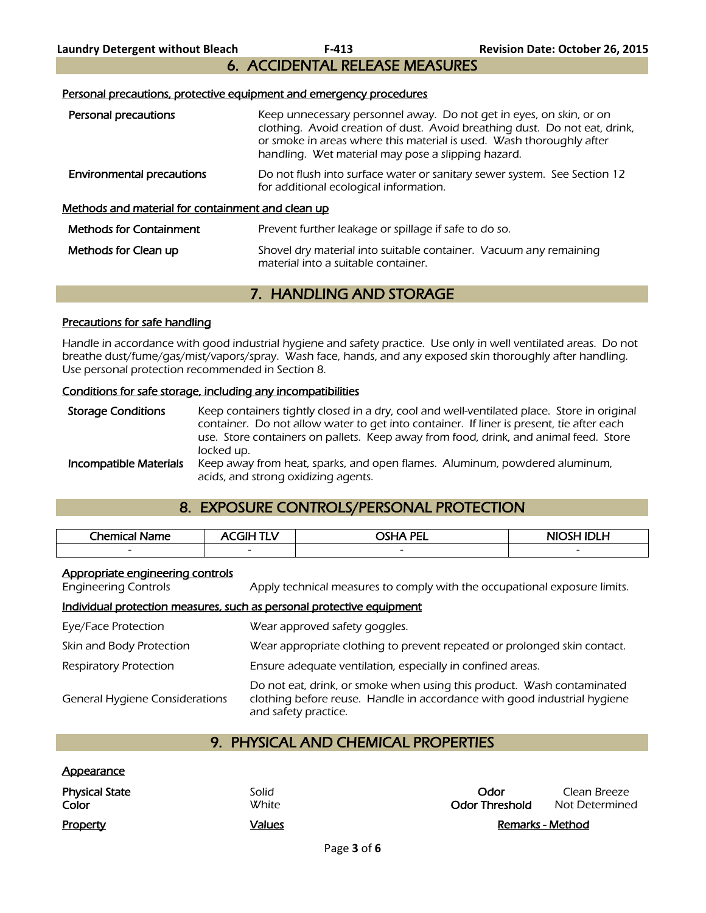6. ACCIDENTAL RELEASE MEASURES

#### Personal precautions, protective equipment and emergency procedures

| Personal precautions                                     | Keep unnecessary personnel away. Do not get in eyes, on skin, or on<br>clothing. Avoid creation of dust. Avoid breathing dust. Do not eat, drink,<br>or smoke in areas where this material is used. Wash thoroughly after<br>handling. Wet material may pose a slipping hazard. |
|----------------------------------------------------------|---------------------------------------------------------------------------------------------------------------------------------------------------------------------------------------------------------------------------------------------------------------------------------|
| <b>Environmental precautions</b>                         | Do not flush into surface water or sanitary sewer system. See Section 12<br>for additional ecological information.                                                                                                                                                              |
| <u>Methods and material for containment and clean up</u> |                                                                                                                                                                                                                                                                                 |
| <b>Methods for Containment</b>                           | Prevent further leakage or spillage if safe to do so.                                                                                                                                                                                                                           |
| Methods for Clean up                                     | Shovel dry material into suitable container. Vacuum any remaining<br>material into a suitable container.                                                                                                                                                                        |

# 7. HANDLING AND STORAGE

#### Precautions for safe handling

Handle in accordance with good industrial hygiene and safety practice. Use only in well ventilated areas. Do not breathe dust/fume/gas/mist/vapors/spray. Wash face, hands, and any exposed skin thoroughly after handling. Use personal protection recommended in Section 8.

#### Conditions for safe storage, including any incompatibilities

Storage Conditions Keep containers tightly closed in a dry, cool and well-ventilated place. Store in original container. Do not allow water to get into container. If liner is present, tie after each use. Store containers on pallets. Keep away from food, drink, and animal feed. Store locked up. **Incompatible Materials** Keep away from heat, sparks, and open flames. Aluminum, powdered aluminum, acids, and strong oxidizing agents.

# 8. EXPOSURE CONTROLS/PERSONAL PROTECTION

| Chemical<br>Name | -11                      | <b>OCLIA DEI</b>         | NIOSH IDI H |
|------------------|--------------------------|--------------------------|-------------|
| $\sim$           | $\overline{\phantom{0}}$ | $\overline{\phantom{0}}$ | $\sim$      |
|                  |                          |                          |             |

#### Appropriate engineering controls

Engineering Controls Apply technical measures to comply with the occupational exposure limits.

#### Individual protection measures, such as personal protective equipment

| Eye/Face Protection                   | Wear approved safety goggles.                                                                                                                                              |
|---------------------------------------|----------------------------------------------------------------------------------------------------------------------------------------------------------------------------|
| Skin and Body Protection              | Wear appropriate clothing to prevent repeated or prolonged skin contact.                                                                                                   |
| <b>Respiratory Protection</b>         | Ensure adequate ventilation, especially in confined areas.                                                                                                                 |
| <b>General Hygiene Considerations</b> | Do not eat, drink, or smoke when using this product. Wash contaminated<br>clothing before reuse. Handle in accordance with good industrial hygiene<br>and safety practice. |

# 9. PHYSICAL AND CHEMICAL PROPERTIES

| <u>Appearance</u>              |                |                               |                                |
|--------------------------------|----------------|-------------------------------|--------------------------------|
| <b>Physical State</b><br>Color | Solid<br>White | Odor<br><b>Odor Threshold</b> | Clean Breeze<br>Not Determined |
| Property                       | Values         |                               | Remarks - Method               |

| Odor                  | Clean Breeze   |
|-----------------------|----------------|
| <b>Odor Threshold</b> | Not Determined |

Remarks - Method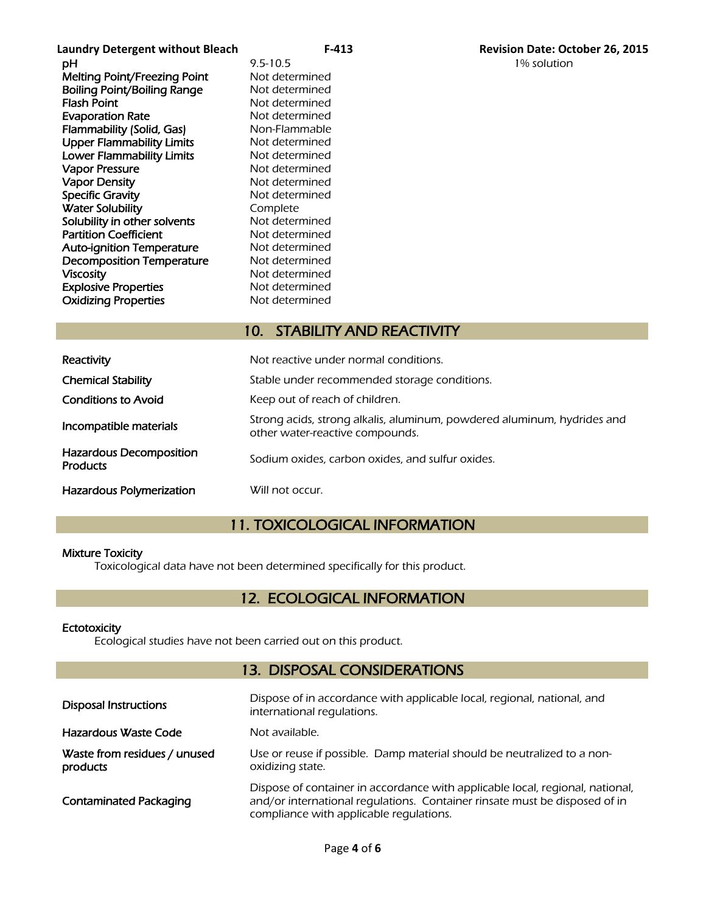**Laundry Detergent without Bleach F-413 Revision Date: October 26, 2015 pH** 9.5-10.5 1% solution Melting Point/Freezing Point Not determined **Boiling Point/Boiling Range Not determined<br>Flash Point Communisty Range Mot determined Evaporation Rate** Not determined Flammability (Solid, Gas) Non-Flammable Upper Flammability Limits Not determined Lower Flammability Limits Not determined Vapor Pressure Not determined Vapor Density Not determined Specific Gravity **Not determined Water Solubility Complete**<br> **Solubility in other solvents** Not determined Solubility in other solvents Partition Coefficient Not determined Auto-ignition Temperature Mot determined Decomposition Temperature Not determined Viscosity<br>
Explosive Properties<br>
Explosive Properties<br>
Not determined **Explosive Properties** Oxidizing Properties Not determined

Not determined

# 10. STABILITY AND REACTIVITY

| Reactivity                                        | Not reactive under normal conditions.                                                                      |
|---------------------------------------------------|------------------------------------------------------------------------------------------------------------|
| <b>Chemical Stability</b>                         | Stable under recommended storage conditions.                                                               |
| <b>Conditions to Avoid</b>                        | Keep out of reach of children.                                                                             |
| Incompatible materials                            | Strong acids, strong alkalis, aluminum, powdered aluminum, hydrides and<br>other water-reactive compounds. |
| <b>Hazardous Decomposition</b><br><b>Products</b> | Sodium oxides, carbon oxides, and sulfur oxides.                                                           |
| Hazardous Polymerization                          | Will not occur.                                                                                            |

# 11. TOXICOLOGICAL INFORMATION

#### Mixture Toxicity

Toxicological data have not been determined specifically for this product.

# 12. ECOLOGICAL INFORMATION

#### **Ectotoxicity**

Ecological studies have not been carried out on this product.

### 13. DISPOSAL CONSIDERATIONS

| <b>Disposal Instructions</b>             | Dispose of in accordance with applicable local, regional, national, and<br>international regulations.                                                                                                  |  |  |  |
|------------------------------------------|--------------------------------------------------------------------------------------------------------------------------------------------------------------------------------------------------------|--|--|--|
| Hazardous Waste Code                     | Not available.                                                                                                                                                                                         |  |  |  |
| Waste from residues / unused<br>products | Use or reuse if possible. Damp material should be neutralized to a non-<br>oxidizing state.                                                                                                            |  |  |  |
| <b>Contaminated Packaging</b>            | Dispose of container in accordance with applicable local, regional, national,<br>and/or international regulations. Container rinsate must be disposed of in<br>compliance with applicable regulations. |  |  |  |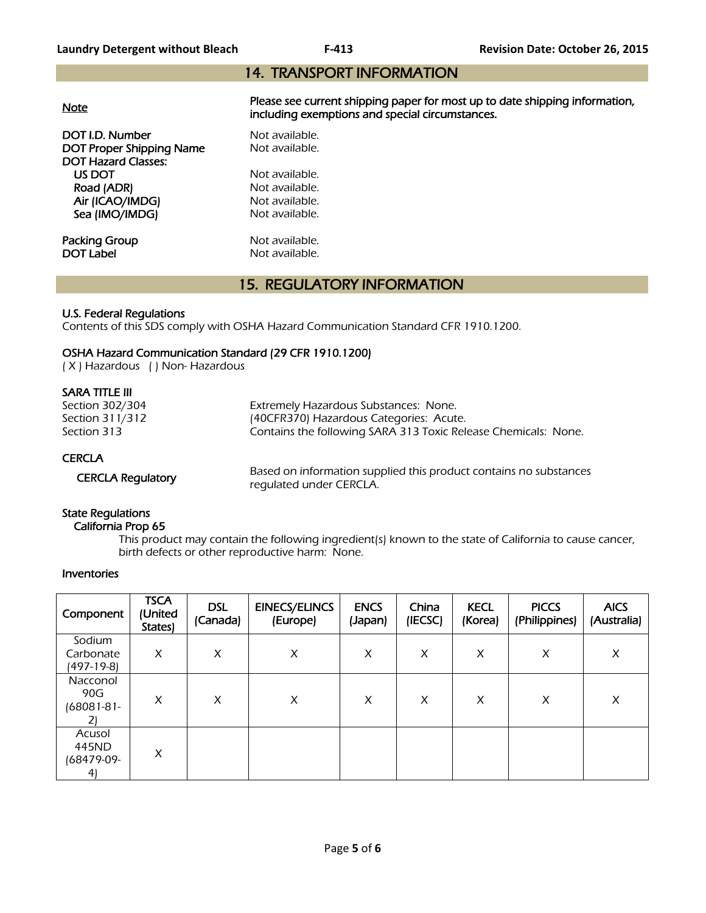# 14. TRANSPORT INFORMATION

| <b>Note</b>                                 | Please see current shipping paper for most up to date shipping information,<br>including exemptions and special circumstances. |  |  |  |  |
|---------------------------------------------|--------------------------------------------------------------------------------------------------------------------------------|--|--|--|--|
| DOT I.D. Number<br>DOT Proper Shipping Name | Not available.<br>Not available.                                                                                               |  |  |  |  |
| <b>DOT Hazard Classes:</b>                  |                                                                                                                                |  |  |  |  |
| US DOT                                      | Not available.                                                                                                                 |  |  |  |  |
| Road (ADR)                                  | Not available.                                                                                                                 |  |  |  |  |
| Air (ICAO/IMDG)                             | Not available.                                                                                                                 |  |  |  |  |
| Sea (IMO/IMDG)                              | Not available.                                                                                                                 |  |  |  |  |
| Packing Group                               | Not available.                                                                                                                 |  |  |  |  |
| <b>DOT Label</b>                            | Not available.                                                                                                                 |  |  |  |  |

# 15. REGULATORY INFORMATION

#### U.S. Federal Regulations

Contents of this SDS comply with OSHA Hazard Communication Standard CFR 1910.1200.

#### OSHA Hazard Communication Standard (29 CFR 1910.1200)

( X ) Hazardous ( ) Non- Hazardous

#### SARA TITLE III

| Section 302/304 | Extremely Hazardous Substances: None.                          |  |  |  |  |
|-----------------|----------------------------------------------------------------|--|--|--|--|
| Section 311/312 | (40CFR370) Hazardous Categories: Acute.                        |  |  |  |  |
| Section 313     | Contains the following SARA 313 Toxic Release Chemicals: None. |  |  |  |  |
| <b>CERCLA</b>   |                                                                |  |  |  |  |

CERCLA Regulatory Based on information supplied this product contains no substances regulated under CERCLA.

### State Regulations

#### California Prop 65

 This product may contain the following ingredient(s) known to the state of California to cause cancer, birth defects or other reproductive harm: None.

#### Inventories

| Component                                | <b>TSCA</b><br>(United<br>States) | <b>DSL</b><br>(Canada) | <b>EINECS/ELINCS</b><br>(Europe) | <b>ENCS</b><br>(Japan) | China<br>(IECSC) | <b>KECL</b><br>(Korea) | <b>PICCS</b><br>(Philippines) | <b>AICS</b><br>(Australia) |
|------------------------------------------|-----------------------------------|------------------------|----------------------------------|------------------------|------------------|------------------------|-------------------------------|----------------------------|
| Sodium<br>Carbonate<br>(497-19-8)        | X                                 | X                      | X                                | X                      | X                | X                      | X                             | X                          |
| Nacconol<br>90G<br>$(68081 - 81 -$<br>2) | X                                 | X                      | X                                | X                      | X                | X                      | X                             | X                          |
| Acusol<br>445ND<br>(68479-09-<br>4)      | X                                 |                        |                                  |                        |                  |                        |                               |                            |